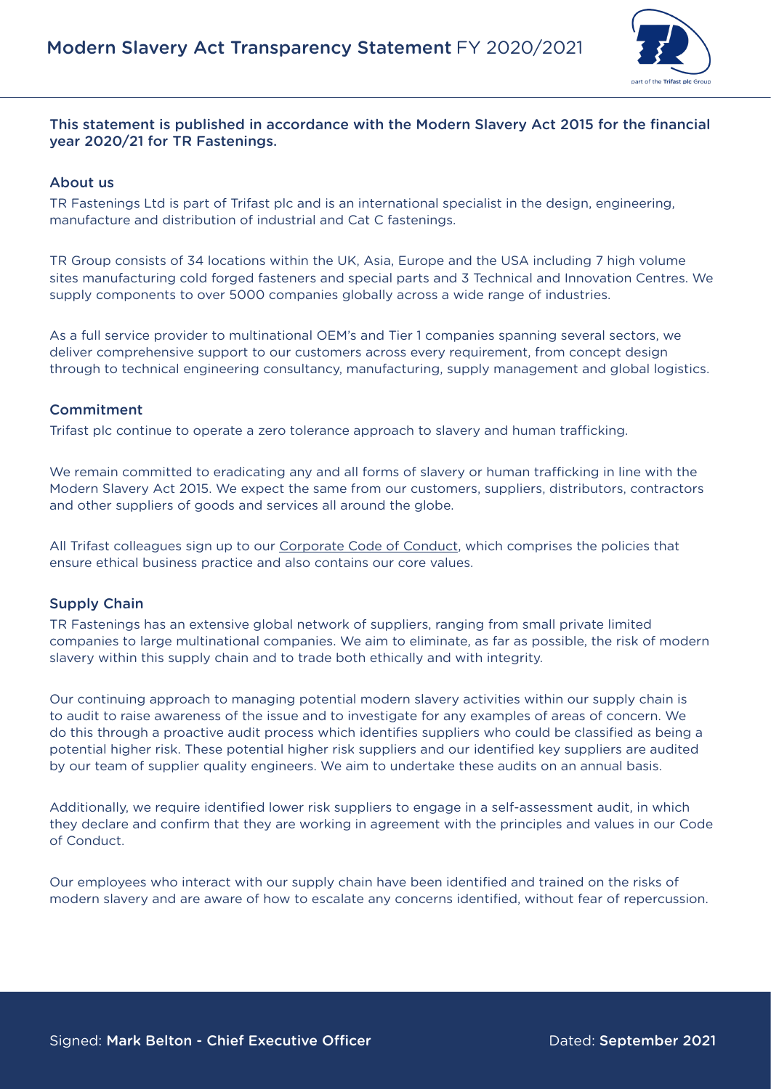

## This statement is published in accordance with the Modern Slavery Act 2015 for the financial year 2020/21 for TR Fastenings.

#### About us

TR Fastenings Ltd is part of Trifast plc and is an international specialist in the design, engineering, manufacture and distribution of industrial and Cat C fastenings.

TR Group consists of 34 locations within the UK, Asia, Europe and the USA including 7 high volume sites manufacturing cold forged fasteners and special parts and 3 Technical and Innovation Centres. We supply components to over 5000 companies globally across a wide range of industries.

As a full service provider to multinational OEM's and Tier 1 companies spanning several sectors, we deliver comprehensive support to our customers across every requirement, from concept design through to technical engineering consultancy, manufacturing, supply management and global logistics.

#### Commitment

Trifast plc continue to operate a zero tolerance approach to slavery and human trafficking.

We remain committed to eradicating any and all forms of slavery or human trafficking in line with the Modern Slavery Act 2015. We expect the same from our customers, suppliers, distributors, contractors and other suppliers of goods and services all around the globe.

All Trifast colleagues sign up to our [Corporate Code of Conduct,](https://www.trfastenings.com/code-of-business-conduct) which comprises the policies that ensure ethical business practice and also contains our core values.

#### Supply Chain

TR Fastenings has an extensive global network of suppliers, ranging from small private limited companies to large multinational companies. We aim to eliminate, as far as possible, the risk of modern slavery within this supply chain and to trade both ethically and with integrity.

Our continuing approach to managing potential modern slavery activities within our supply chain is to audit to raise awareness of the issue and to investigate for any examples of areas of concern. We do this through a proactive audit process which identifies suppliers who could be classified as being a potential higher risk. These potential higher risk suppliers and our identified key suppliers are audited by our team of supplier quality engineers. We aim to undertake these audits on an annual basis.

Additionally, we require identified lower risk suppliers to engage in a self-assessment audit, in which they declare and confirm that they are working in agreement with the principles and values in our Code of Conduct.

Our employees who interact with our supply chain have been identified and trained on the risks of modern slavery and are aware of how to escalate any concerns identified, without fear of repercussion.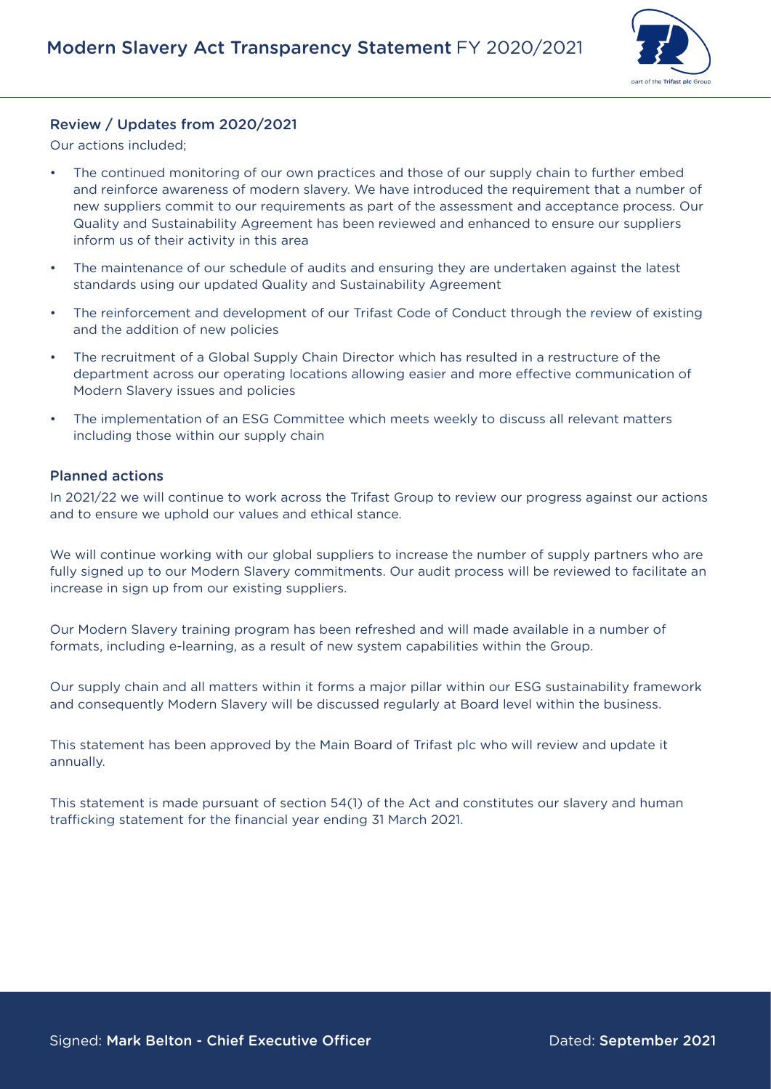

## Review / Updates from 2020/2021

Our actions included;

- The continued monitoring of our own practices and those of our supply chain to further embed and reinforce awareness of modern slavery. We have introduced the requirement that a number of new suppliers commit to our requirements as part of the assessment and acceptance process. Our Quality and Sustainability Agreement has been reviewed and enhanced to ensure our suppliers inform us of their activity in this area
- The maintenance of our schedule of audits and ensuring they are undertaken against the latest standards using our updated Quality and Sustainability Agreement
- The reinforcement and development of our Trifast Code of Conduct through the review of existing and the addition of new policies
- The recruitment of a Global Supply Chain Director which has resulted in a restructure of the department across our operating locations allowing easier and more effective communication of Modern Slavery issues and policies
- The implementation of an ESG Committee which meets weekly to discuss all relevant matters including those within our supply chain

#### Planned actions

In 2021/22 we will continue to work across the Trifast Group to review our progress against our actions and to ensure we uphold our values and ethical stance.

We will continue working with our global suppliers to increase the number of supply partners who are fully signed up to our Modern Slavery commitments. Our audit process will be reviewed to facilitate an increase in sign up from our existing suppliers.

Our Modern Slavery training program has been refreshed and will made available in a number of formats, including e-learning, as a result of new system capabilities within the Group.

Our supply chain and all matters within it forms a major pillar within our ESG sustainability framework and consequently Modern Slavery will be discussed regularly at Board level within the business.

This statement has been approved by the Main Board of Trifast plc who will review and update it annually.

This statement is made pursuant of section 54(1) of the Act and constitutes our slavery and human trafficking statement for the financial year ending 31 March 2021.